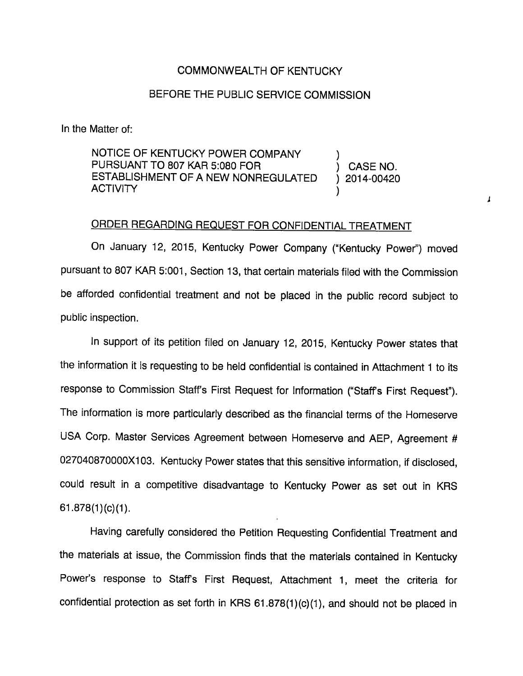## COMMONWEALTH OF KENTUCKY

## BEFORE THE PUBLIC SERVICE COMMISSION

In the Matter of:

NOTICE OF KENTUCKY POWER COMPANY PURSUANT TO 807 KAR 5:080 FOR (CASE NO. ESTABLISHMENT OF A NEW NONREGULATED ) 2014-00420 **ACTIVITY** 

## ORDER REGARDING REQUEST FOR CONFIDENTIAL TREATMENT

 $\mathbf{I}$ 

On January 12, 2015, Kentucky Power Company ("Kentucky Power") moved pursuant to 807 KAR 5:001, Section 13, that certain materials filed with the Commission be afforded confidential treatment and not be placed in the public record subject to public inspection.

In support of its petition filed on January 12, 2015, Kentucky Power states that the information it is requesting to be held confidential is contained in Attachment 1 to its response to Commission Staffs First Request for Information ("Staffs First Request"). The information is more particularly described as the financial terms of the Homeserve USA Corp. Master Services Agreement between Homeserve and AEP, Agreement # 027040870000X103. Kentucky Power states that this sensitive information, if disclosed, could result in a competitive disadvantage to Kentucky Power as set out in KRS 61.878(1)(c)(1).

Having carefully considered the Petition Requesting Confidential Treatment and the materials at issue, the Commission finds that the materials contained in Kentucky Power's response to Staffs First Request, Attachment 1, meet the criteria for confidential protection as set forth in KRS 61.878(1)(c)(1), and should not be placed in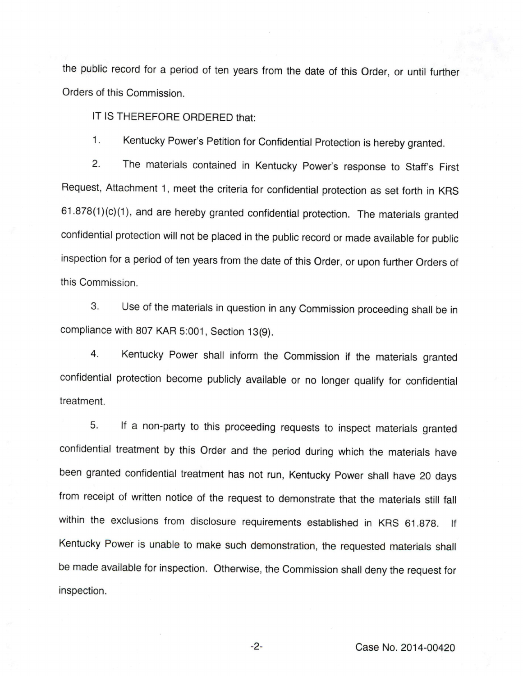the public record for a period of ten years from the date of this Order, or until further Orders of this Commission.

IT IS THEREFORE ORDERED that:

1. Kentucky Power's Petition for Confidential Protection is hereby granted.

2. The materials contained in Kentucky Power's response to Staff's First Request, Attachment 1, meet the criteria for confidential protection as set forth in KRS 61.878(1 )(c)(1), and are hereby granted confidential protection. The materials granted confidential protection will not be placed in the public record or made available for public inspection for a period of ten years from the date of this Order, or upon further Orders of this Commission.

3. Use of the materials in question in any Commission proceeding shall be in compliance with 807 KAR 5:001, Section 13(9).

4. Kentucky Power shall inform the Commission if the materials granted confidential protection become publicly available or no longer qualify for confidential treatment.

5. If a non-party to this proceeding requests to inspect materials granted confidential treatment by this Order and the period during which the materials have been granted confidential treatment has not run, Kentucky Power shall have 20 days from receipt of written notice of the request to demonstrate that the materials still fall within the exclusions from disclosure requirements established in KRS 61.878. If Kentucky Power is unable to make such demonstration, the requested materials shall be made available for inspection. Otherwise, the Commission shall deny the request for inspection.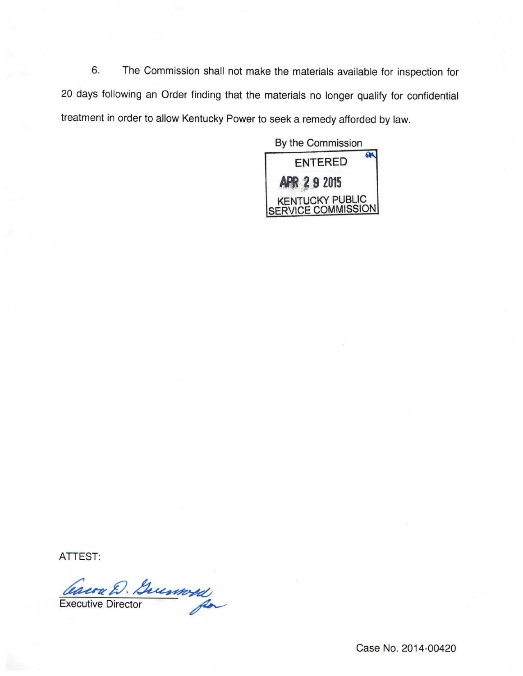6. The Commission shall not make the materials available for inspection for 20 days following an Order finding that the materials no longer qualify for confidential treatment in order to allow Kentucky Power to seek a remedy afforded by law.

By the Commission



ATTEST:

Caura D. Guernosa